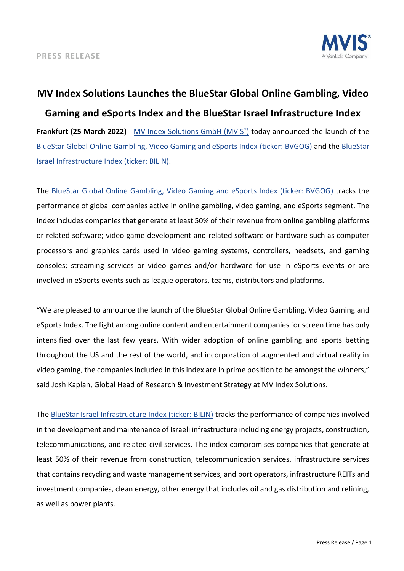

## **MV Index Solutions Launches the BlueStar Global Online Gambling, Video Gaming and eSports Index and the BlueStar Israel Infrastructure Index**

**Frankfurt (25 March 2022)** - [MV Index Solutions GmbH \(MVIS](https://www.mvis-indices.com/)[®](https://www.mvis-indices.com/) [\)](https://www.mvis-indices.com/) today announced the launch of th[e](https://mvis-indices.com/indices/sector/BlueStar-Global-Online-Gambling-Video-Gaming-and-eSports?utm_source=mvis&utm_medium=pressrelease&utm_campaign=announcement) [BlueStar Global Online Gambling, Video Gaming and eSports Index](https://mvis-indices.com/indices/sector/BlueStar-Global-Online-Gambling-Video-Gaming-and-eSports?utm_source=mvis&utm_medium=pressrelease&utm_campaign=announcement) (ticker: BVGOG) and the [BlueStar](https://mvis-indices.com/indices/sector/BlueStar-Israel-Infrastructure?utm_source=mvis&utm_medium=pressrelease&utm_campaign=announcement)  [Israel Infrastructure Index \(ticker: BILIN\).](https://mvis-indices.com/indices/sector/BlueStar-Israel-Infrastructure?utm_source=mvis&utm_medium=pressrelease&utm_campaign=announcement)

The [BlueStar Global Online Gambling, Video Gaming and eSports Index \(ticker: BVGOG\)](https://mvis-indices.com/indices/sector/BlueStar-Global-Online-Gambling-Video-Gaming-and-eSports?utm_source=mvis&utm_medium=pressrelease&utm_campaign=announcement) tracks the performance of global companies active in online gambling, video gaming, and eSports segment. The index includes companies that generate at least 50% of their revenue from online gambling platforms or related software; video game development and related software or hardware such as computer processors and graphics cards used in video gaming systems, controllers, headsets, and gaming consoles; streaming services or video games and/or hardware for use in eSports events or are involved in eSports events such as league operators, teams, distributors and platforms.

"We are pleased to announce the launch of the BlueStar Global Online Gambling, Video Gaming and eSports Index. The fight among online content and entertainment companies for screen time has only intensified over the last few years. With wider adoption of online gambling and sports betting throughout the US and the rest of the world, and incorporation of augmented and virtual reality in video gaming, the companies included in this index are in prime position to be amongst the winners," said Josh Kaplan, Global Head of Research & Investment Strategy at MV Index Solutions.

The [BlueStar Israel Infrastructure Index \(ticker: BILIN\)](https://mvis-indices.com/indices/sector/BlueStar-Israel-Infrastructure?utm_source=mvis&utm_medium=pressrelease&utm_campaign=announcement) tracks the performance of companies involved in the development and maintenance of Israeli infrastructure including energy projects, construction, telecommunications, and related civil services. The index compromises companies that generate at least 50% of their revenue from construction, telecommunication services, infrastructure services that contains recycling and waste management services, and port operators, infrastructure REITs and investment companies, clean energy, other energy that includes oil and gas distribution and refining, as well as power plants.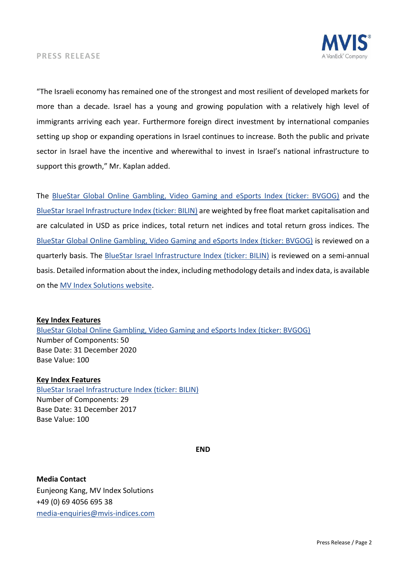"The Israeli economy has remained one of the strongest and most resilient of developed markets for more than a decade. Israel has a young and growing population with a relatively high level of immigrants arriving each year. Furthermore foreign direct investment by international companies setting up shop or expanding operations in Israel continues to increase. Both the public and private sector in Israel have the incentive and wherewithal to invest in Israel's national infrastructure to support this growth," Mr. Kaplan added.

The [BlueStar Global Online Gambling, Video Gaming and eSports Index \(ticker: BVGOG\)](https://mvis-indices.com/indices/sector/BlueStar-Global-Online-Gambling-Video-Gaming-and-eSports?utm_source=mvis&utm_medium=pressrelease&utm_campaign=announcement) and th[e](https://mvis-indices.com/indices/sector/BlueStar-Israel-Infrastructure?utm_source=mvis&utm_medium=pressrelease&utm_campaign=announcement) [BlueStar Israel Infrastructure Index \(ticker: BILIN\)](https://mvis-indices.com/indices/sector/BlueStar-Israel-Infrastructure?utm_source=mvis&utm_medium=pressrelease&utm_campaign=announcement) are weighted by free float market capitalisation and are calculated in USD as price indices, total return net indices and total return gross indices. Th[e](https://mvis-indices.com/indices/sector/BlueStar-Global-Online-Gambling-Video-Gaming-and-eSports?utm_source=mvis&utm_medium=pressrelease&utm_campaign=announcement) [BlueStar Global Online Gambling, Video Gaming and eSports Index \(ticker: BVGOG\)](https://mvis-indices.com/indices/sector/BlueStar-Global-Online-Gambling-Video-Gaming-and-eSports?utm_source=mvis&utm_medium=pressrelease&utm_campaign=announcement) is reviewed on a quarterly basis. The [BlueStar Israel Infrastructure Index \(ticker: BILIN\)](https://mvis-indices.com/indices/sector/BlueStar-Israel-Infrastructure?utm_source=mvis&utm_medium=pressrelease&utm_campaign=announcement) is reviewed on a semi-annual basis. Detailed information about the index, including methodology details and index data, is available on the [MV Index Solutions website.](https://www.mvis-indices.com/?utm_source=mvis&utm_medium=pressrelease&utm_campaign=announcement)

**Key Index Features**  [BlueStar Global Online Gambling, Video Gaming and eSports Index \(ticker: BVGOG\)](https://mvis-indices.com/indices/sector/BlueStar-Global-Online-Gambling-Video-Gaming-and-eSports?utm_source=mvis&utm_medium=pressrelease&utm_campaign=announcement) Number of Components: 50 Base Date: 31 December 2020 Base Value: 100

**Key Index Features**  [BlueStar Israel Infrastructure Index \(ticker: BILIN\)](https://mvis-indices.com/indices/sector/BlueStar-Israel-Infrastructure?utm_source=mvis&utm_medium=pressrelease&utm_campaign=announcement) Number of Components: 29 Base Date: 31 December 2017 Base Value: 100

**END**

**Media Contact** Eunjeong Kang, MV Index Solutions +49 (0) 69 4056 695 38 [media-enquiries@mvis-indices.com](mailto:media-enquiries@mvis-indices.com)